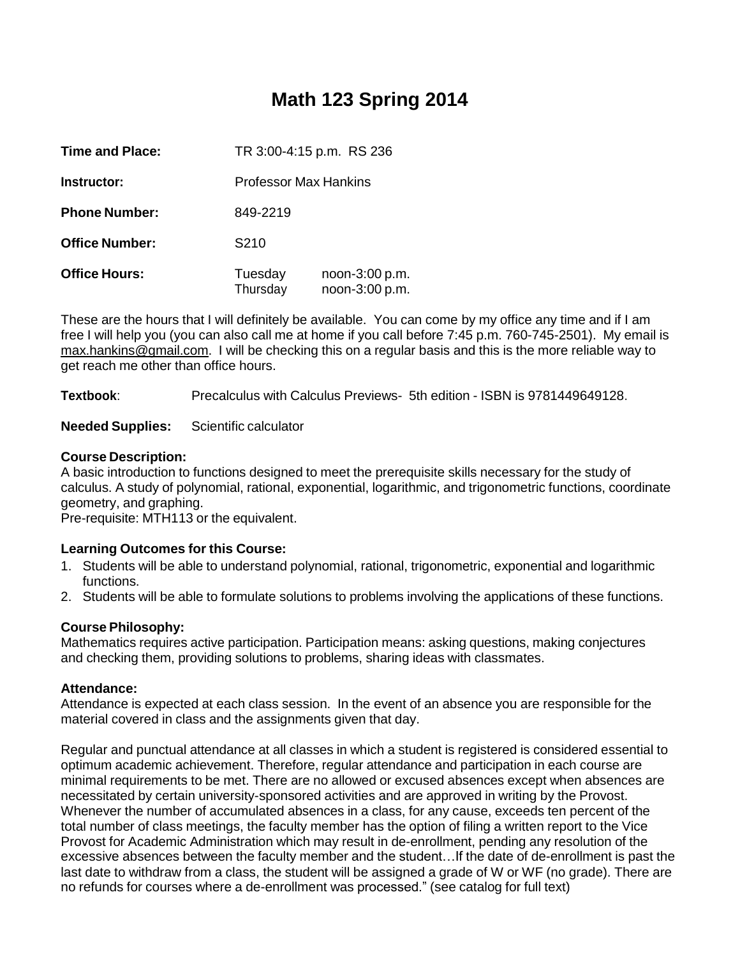# **Math 123 Spring 2014**

| <b>Time and Place:</b> | TR 3:00-4:15 p.m. RS 236 |                                  |
|------------------------|--------------------------|----------------------------------|
| Instructor:            | Professor Max Hankins    |                                  |
| <b>Phone Number:</b>   | 849-2219                 |                                  |
| <b>Office Number:</b>  | S <sub>210</sub>         |                                  |
| <b>Office Hours:</b>   | Tuesday<br>Thursday      | noon-3:00 p.m.<br>noon-3:00 p.m. |

These are the hours that I will definitely be available. You can come by my office any time and if I am free I will help you (you can also call me at home if you call before 7:45 p.m. 760-745-2501). My email is [max.hankins@gmail.com.](mailto:max.hankins@gmail.com) I will be checking this on a regular basis and this is the more reliable way to get reach me other than office hours.

**Textbook**: Precalculus with Calculus Previews- 5th edition - ISBN is 9781449649128.

**Needed Supplies:** Scientific calculator

# **Course Description:**

A basic introduction to functions designed to meet the prerequisite skills necessary for the study of calculus. A study of polynomial, rational, exponential, logarithmic, and trigonometric functions, coordinate geometry, and graphing.

Pre-requisite: MTH113 or the equivalent.

# **Learning Outcomes for this Course:**

- 1. Students will be able to understand polynomial, rational, trigonometric, exponential and logarithmic functions.
- 2. Students will be able to formulate solutions to problems involving the applications of these functions.

# **Course Philosophy:**

Mathematics requires active participation. Participation means: asking questions, making conjectures and checking them, providing solutions to problems, sharing ideas with classmates.

# **Attendance:**

Attendance is expected at each class session. In the event of an absence you are responsible for the material covered in class and the assignments given that day.

Regular and punctual attendance at all classes in which a student is registered is considered essential to optimum academic achievement. Therefore, regular attendance and participation in each course are minimal requirements to be met. There are no allowed or excused absences except when absences are necessitated by certain university-sponsored activities and are approved in writing by the Provost. Whenever the number of accumulated absences in a class, for any cause, exceeds ten percent of the total number of class meetings, the faculty member has the option of filing a written report to the Vice Provost for Academic Administration which may result in de-enrollment, pending any resolution of the excessive absences between the faculty member and the student…If the date of de-enrollment is past the last date to withdraw from a class, the student will be assigned a grade of W or WF (no grade). There are no refunds for courses where a de-enrollment was processed." (see catalog for full text)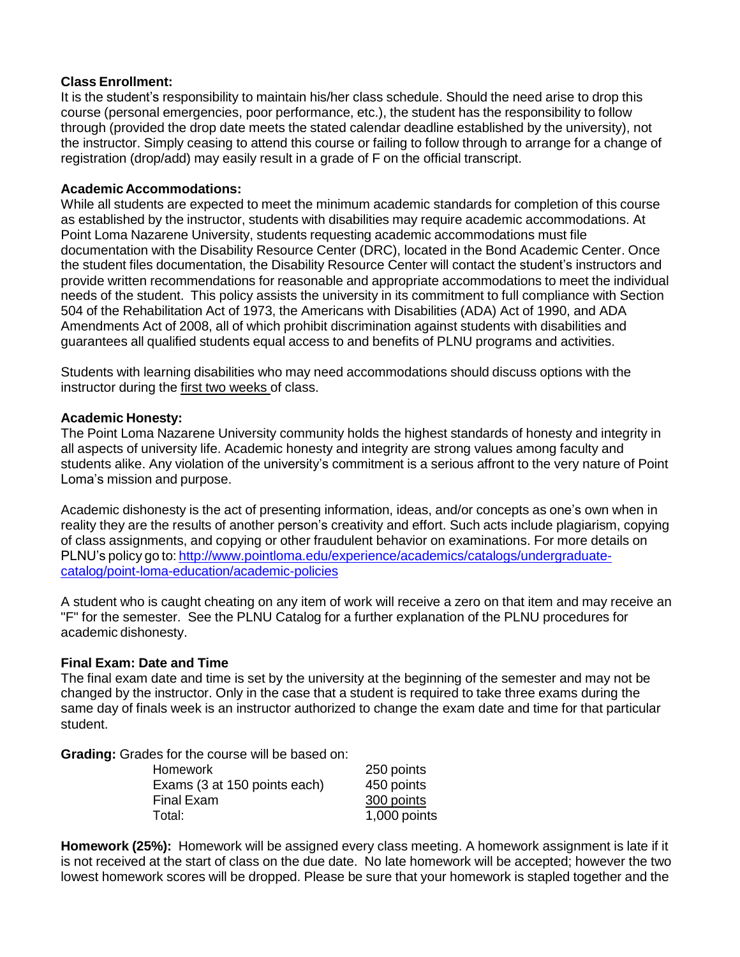#### **Class Enrollment:**

It is the student's responsibility to maintain his/her class schedule. Should the need arise to drop this course (personal emergencies, poor performance, etc.), the student has the responsibility to follow through (provided the drop date meets the stated calendar deadline established by the university), not the instructor. Simply ceasing to attend this course or failing to follow through to arrange for a change of registration (drop/add) may easily result in a grade of F on the official transcript.

#### **Academic Accommodations:**

While all students are expected to meet the minimum academic standards for completion of this course as established by the instructor, students with disabilities may require academic accommodations. At Point Loma Nazarene University, students requesting academic accommodations must file documentation with the Disability Resource Center (DRC), located in the Bond Academic Center. Once the student files documentation, the Disability Resource Center will contact the student's instructors and provide written recommendations for reasonable and appropriate accommodations to meet the individual needs of the student. This policy assists the university in its commitment to full compliance with Section 504 of the Rehabilitation Act of 1973, the Americans with Disabilities (ADA) Act of 1990, and ADA Amendments Act of 2008, all of which prohibit discrimination against students with disabilities and guarantees all qualified students equal access to and benefits of PLNU programs and activities.

Students with learning disabilities who may need accommodations should discuss options with the instructor during the first two weeks of class.

#### **Academic Honesty:**

The Point Loma Nazarene University community holds the highest standards of honesty and integrity in all aspects of university life. Academic honesty and integrity are strong values among faculty and students alike. Any violation of the university's commitment is a serious affront to the very nature of Point Loma's mission and purpose.

Academic dishonesty is the act of presenting information, ideas, and/or concepts as one's own when in reality they are the results of another person's creativity and effort. Such acts include plagiarism, copying of class assignments, and copying or other fraudulent behavior on examinations. For more details on PLNU's policy go to: [http://www.pointloma.edu/experience/academics/catalogs/undergraduate](http://www.pointloma.edu/experience/academics/catalogs/undergraduate-)catalog/point-loma-education/academic-policies

A student who is caught cheating on any item of work will receive a zero on that item and may receive an "F" for the semester. See the PLNU Catalog for a further explanation of the PLNU procedures for academic dishonesty.

# **Final Exam: Date and Time**

The final exam date and time is set by the university at the beginning of the semester and may not be changed by the instructor. Only in the case that a student is required to take three exams during the same day of finals week is an instructor authorized to change the exam date and time for that particular student.

**Grading:** Grades for the course will be based on:

| Homework                     | 250 points   |
|------------------------------|--------------|
| Exams (3 at 150 points each) | 450 points   |
| Final Exam                   | 300 points   |
| Total:                       | 1,000 points |

**Homework (25%):** Homework will be assigned every class meeting. A homework assignment is late if it is not received at the start of class on the due date. No late homework will be accepted; however the two lowest homework scores will be dropped. Please be sure that your homework is stapled together and the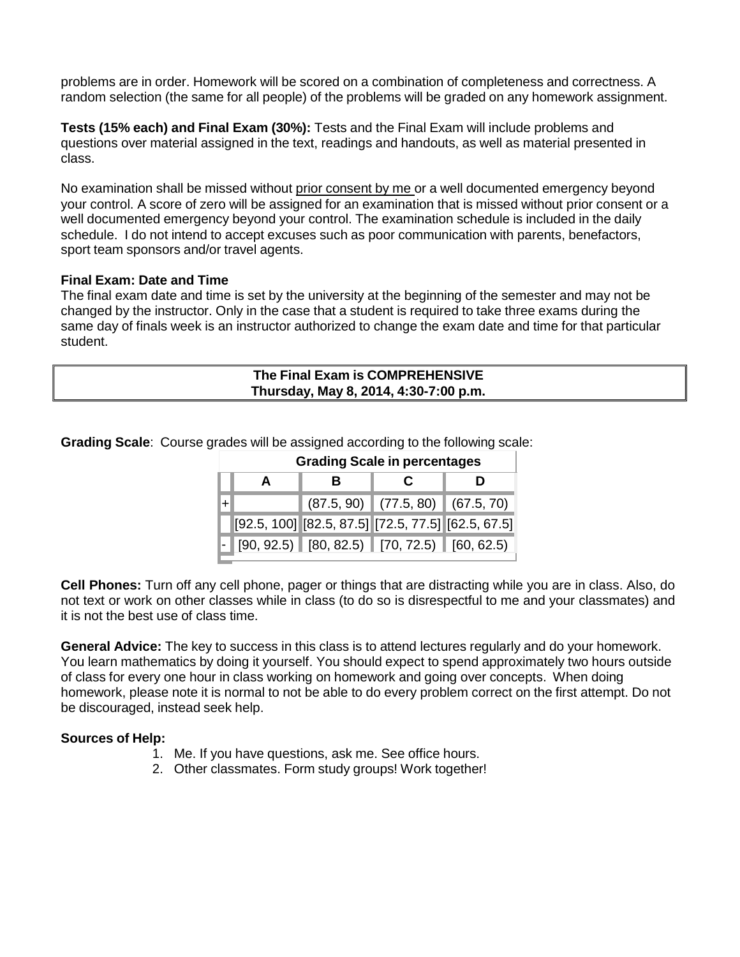problems are in order. Homework will be scored on a combination of completeness and correctness. A random selection (the same for all people) of the problems will be graded on any homework assignment.

**Tests (15% each) and Final Exam (30%):** Tests and the Final Exam will include problems and questions over material assigned in the text, readings and handouts, as well as material presented in class.

No examination shall be missed without prior consent by me or a well documented emergency beyond your control. A score of zero will be assigned for an examination that is missed without prior consent or a well documented emergency beyond your control. The examination schedule is included in the daily schedule. I do not intend to accept excuses such as poor communication with parents, benefactors, sport team sponsors and/or travel agents.

#### **Final Exam: Date and Time**

The final exam date and time is set by the university at the beginning of the semester and may not be changed by the instructor. Only in the case that a student is required to take three exams during the same day of finals week is an instructor authorized to change the exam date and time for that particular student.

| The Final Exam is COMPREHENSIVE       |  |
|---------------------------------------|--|
| Thursday, May 8, 2014, 4:30-7:00 p.m. |  |

**Grading Scale in percentages A B C D** + (87.5, 90) (77.5, 80) (67.5, 70) [92.5, 100] [82.5, 87.5] [72.5, 77.5] [62.5, 67.5]  $[90, 92.5]$   $[80, 82.5)$   $[70, 72.5)$   $[60, 62.5)$ 

**Grading Scale**: Course grades will be assigned according to the following scale:

**Cell Phones:** Turn off any cell phone, pager or things that are distracting while you are in class. Also, do not text or work on other classes while in class (to do so is disrespectful to me and your classmates) and it is not the best use of class time.

**General Advice:** The key to success in this class is to attend lectures regularly and do your homework. You learn mathematics by doing it yourself. You should expect to spend approximately two hours outside of class for every one hour in class working on homework and going over concepts. When doing homework, please note it is normal to not be able to do every problem correct on the first attempt. Do not be discouraged, instead seek help.

# **Sources of Help:**

- 1. Me. If you have questions, ask me. See office hours.
- 2. Other classmates. Form study groups! Work together!